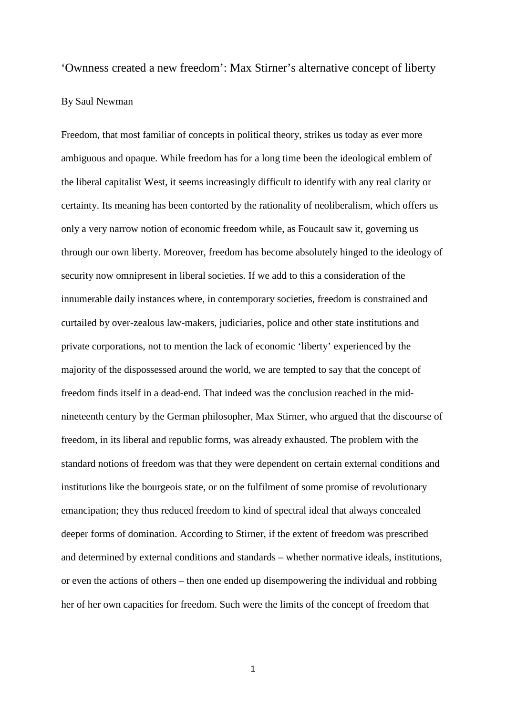# 'Ownness created a new freedom': Max Stirner's alternative concept of liberty By Saul Newman

Freedom, that most familiar of concepts in political theory, strikes us today as ever more ambiguous and opaque. While freedom has for a long time been the ideological emblem of the liberal capitalist West, it seems increasingly difficult to identify with any real clarity or certainty. Its meaning has been contorted by the rationality of neoliberalism, which offers us only a very narrow notion of economic freedom while, as Foucault saw it, governing us through our own liberty. Moreover, freedom has become absolutely hinged to the ideology of security now omnipresent in liberal societies. If we add to this a consideration of the innumerable daily instances where, in contemporary societies, freedom is constrained and curtailed by over-zealous law-makers, judiciaries, police and other state institutions and private corporations, not to mention the lack of economic 'liberty' experienced by the majority of the dispossessed around the world, we are tempted to say that the concept of freedom finds itself in a dead-end. That indeed was the conclusion reached in the midnineteenth century by the German philosopher, Max Stirner, who argued that the discourse of freedom, in its liberal and republic forms, was already exhausted. The problem with the standard notions of freedom was that they were dependent on certain external conditions and institutions like the bourgeois state, or on the fulfilment of some promise of revolutionary emancipation; they thus reduced freedom to kind of spectral ideal that always concealed deeper forms of domination. According to Stirner, if the extent of freedom was prescribed and determined by external conditions and standards – whether normative ideals, institutions, or even the actions of others – then one ended up disempowering the individual and robbing her of her own capacities for freedom. Such were the limits of the concept of freedom that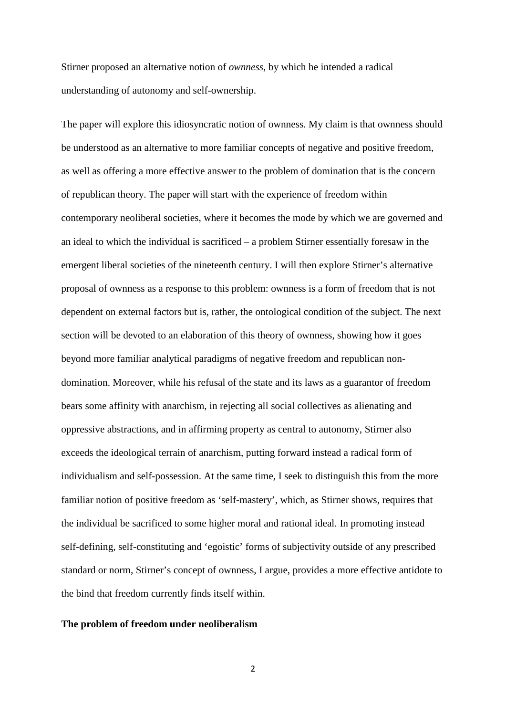Stirner proposed an alternative notion of *ownness*, by which he intended a radical understanding of autonomy and self-ownership.

The paper will explore this idiosyncratic notion of ownness. My claim is that ownness should be understood as an alternative to more familiar concepts of negative and positive freedom, as well as offering a more effective answer to the problem of domination that is the concern of republican theory. The paper will start with the experience of freedom within contemporary neoliberal societies, where it becomes the mode by which we are governed and an ideal to which the individual is sacrificed – a problem Stirner essentially foresaw in the emergent liberal societies of the nineteenth century. I will then explore Stirner's alternative proposal of ownness as a response to this problem: ownness is a form of freedom that is not dependent on external factors but is, rather, the ontological condition of the subject. The next section will be devoted to an elaboration of this theory of ownness, showing how it goes beyond more familiar analytical paradigms of negative freedom and republican nondomination. Moreover, while his refusal of the state and its laws as a guarantor of freedom bears some affinity with anarchism, in rejecting all social collectives as alienating and oppressive abstractions, and in affirming property as central to autonomy, Stirner also exceeds the ideological terrain of anarchism, putting forward instead a radical form of individualism and self-possession. At the same time, I seek to distinguish this from the more familiar notion of positive freedom as 'self-mastery', which, as Stirner shows, requires that the individual be sacrificed to some higher moral and rational ideal. In promoting instead self-defining, self-constituting and 'egoistic' forms of subjectivity outside of any prescribed standard or norm, Stirner's concept of ownness, I argue, provides a more effective antidote to the bind that freedom currently finds itself within.

## **The problem of freedom under neoliberalism**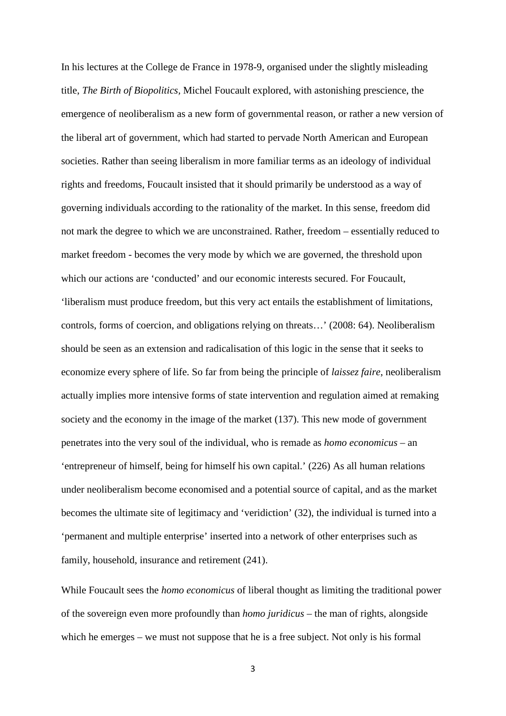In his lectures at the College de France in 1978-9, organised under the slightly misleading title, *The Birth of Biopolitics,* Michel Foucault explored, with astonishing prescience, the emergence of neoliberalism as a new form of governmental reason, or rather a new version of the liberal art of government, which had started to pervade North American and European societies. Rather than seeing liberalism in more familiar terms as an ideology of individual rights and freedoms, Foucault insisted that it should primarily be understood as a way of governing individuals according to the rationality of the market. In this sense, freedom did not mark the degree to which we are unconstrained. Rather, freedom – essentially reduced to market freedom - becomes the very mode by which we are governed, the threshold upon which our actions are 'conducted' and our economic interests secured. For Foucault, 'liberalism must produce freedom, but this very act entails the establishment of limitations, controls, forms of coercion, and obligations relying on threats…' (2008: 64). Neoliberalism should be seen as an extension and radicalisation of this logic in the sense that it seeks to economize every sphere of life. So far from being the principle of *laissez faire*, neoliberalism actually implies more intensive forms of state intervention and regulation aimed at remaking society and the economy in the image of the market (137). This new mode of government penetrates into the very soul of the individual, who is remade as *homo economicus* – an 'entrepreneur of himself, being for himself his own capital.' (226) As all human relations under neoliberalism become economised and a potential source of capital, and as the market becomes the ultimate site of legitimacy and 'veridiction' (32), the individual is turned into a 'permanent and multiple enterprise' inserted into a network of other enterprises such as family, household, insurance and retirement (241).

While Foucault sees the *homo economicus* of liberal thought as limiting the traditional power of the sovereign even more profoundly than *homo juridicus* – the man of rights, alongside which he emerges – we must not suppose that he is a free subject. Not only is his formal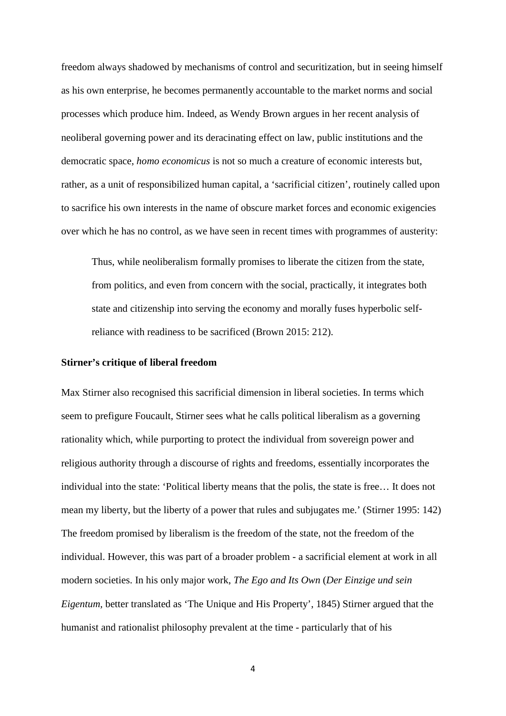freedom always shadowed by mechanisms of control and securitization, but in seeing himself as his own enterprise, he becomes permanently accountable to the market norms and social processes which produce him. Indeed, as Wendy Brown argues in her recent analysis of neoliberal governing power and its deracinating effect on law, public institutions and the democratic space, *homo economicus* is not so much a creature of economic interests but, rather, as a unit of responsibilized human capital, a 'sacrificial citizen', routinely called upon to sacrifice his own interests in the name of obscure market forces and economic exigencies over which he has no control, as we have seen in recent times with programmes of austerity:

Thus, while neoliberalism formally promises to liberate the citizen from the state, from politics, and even from concern with the social, practically, it integrates both state and citizenship into serving the economy and morally fuses hyperbolic selfreliance with readiness to be sacrificed (Brown 2015: 212).

#### **Stirner's critique of liberal freedom**

Max Stirner also recognised this sacrificial dimension in liberal societies. In terms which seem to prefigure Foucault, Stirner sees what he calls political liberalism as a governing rationality which, while purporting to protect the individual from sovereign power and religious authority through a discourse of rights and freedoms, essentially incorporates the individual into the state: 'Political liberty means that the polis, the state is free… It does not mean my liberty, but the liberty of a power that rules and subjugates me.' (Stirner 1995: 142) The freedom promised by liberalism is the freedom of the state, not the freedom of the individual. However, this was part of a broader problem - a sacrificial element at work in all modern societies. In his only major work, *The Ego and Its Own* (*Der Einzige und sein Eigentum,* better translated as 'The Unique and His Property', 1845) Stirner argued that the humanist and rationalist philosophy prevalent at the time - particularly that of his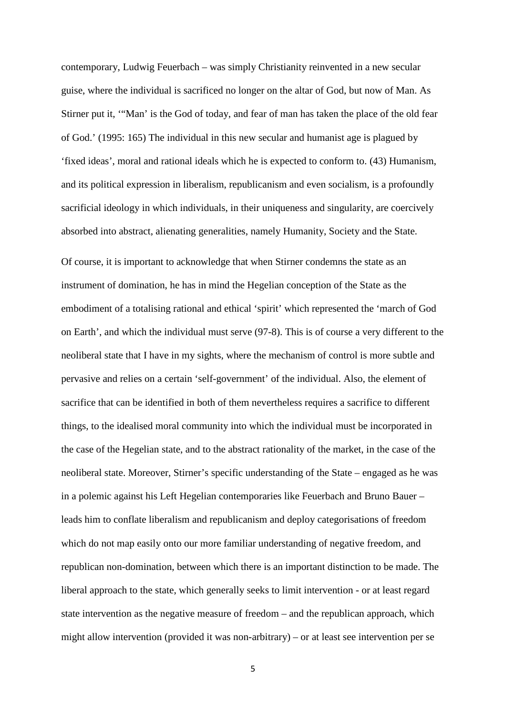contemporary, Ludwig Feuerbach – was simply Christianity reinvented in a new secular guise, where the individual is sacrificed no longer on the altar of God, but now of Man. As Stirner put it, '"Man' is the God of today, and fear of man has taken the place of the old fear of God.' (1995: 165) The individual in this new secular and humanist age is plagued by 'fixed ideas', moral and rational ideals which he is expected to conform to. (43) Humanism, and its political expression in liberalism, republicanism and even socialism, is a profoundly sacrificial ideology in which individuals, in their uniqueness and singularity, are coercively absorbed into abstract, alienating generalities, namely Humanity, Society and the State.

Of course, it is important to acknowledge that when Stirner condemns the state as an instrument of domination, he has in mind the Hegelian conception of the State as the embodiment of a totalising rational and ethical 'spirit' which represented the 'march of God on Earth', and which the individual must serve (97-8). This is of course a very different to the neoliberal state that I have in my sights, where the mechanism of control is more subtle and pervasive and relies on a certain 'self-government' of the individual. Also, the element of sacrifice that can be identified in both of them nevertheless requires a sacrifice to different things, to the idealised moral community into which the individual must be incorporated in the case of the Hegelian state, and to the abstract rationality of the market, in the case of the neoliberal state. Moreover, Stirner's specific understanding of the State – engaged as he was in a polemic against his Left Hegelian contemporaries like Feuerbach and Bruno Bauer – leads him to conflate liberalism and republicanism and deploy categorisations of freedom which do not map easily onto our more familiar understanding of negative freedom, and republican non-domination, between which there is an important distinction to be made. The liberal approach to the state, which generally seeks to limit intervention - or at least regard state intervention as the negative measure of freedom – and the republican approach, which might allow intervention (provided it was non-arbitrary) – or at least see intervention per se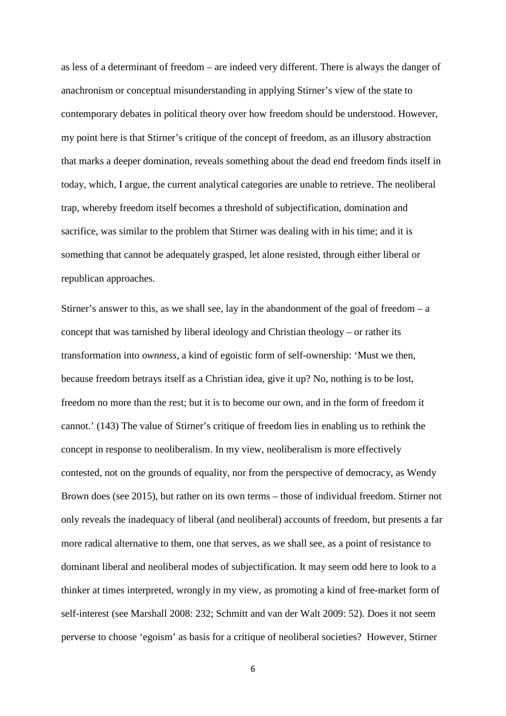as less of a determinant of freedom – are indeed very different. There is always the danger of anachronism or conceptual misunderstanding in applying Stirner's view of the state to contemporary debates in political theory over how freedom should be understood. However, my point here is that Stirner's critique of the concept of freedom, as an illusory abstraction that marks a deeper domination, reveals something about the dead end freedom finds itself in today, which, I argue, the current analytical categories are unable to retrieve. The neoliberal trap, whereby freedom itself becomes a threshold of subjectification, domination and sacrifice, was similar to the problem that Stirner was dealing with in his time; and it is something that cannot be adequately grasped, let alone resisted, through either liberal or republican approaches.

Stirner's answer to this, as we shall see, lay in the abandonment of the goal of freedom  $- a$ concept that was tarnished by liberal ideology and Christian theology – or rather its transformation into *ownness*, a kind of egoistic form of self-ownership: 'Must we then, because freedom betrays itself as a Christian idea, give it up? No, nothing is to be lost, freedom no more than the rest; but it is to become our own, and in the form of freedom it cannot.' (143) The value of Stirner's critique of freedom lies in enabling us to rethink the concept in response to neoliberalism. In my view, neoliberalism is more effectively contested, not on the grounds of equality, nor from the perspective of democracy, as Wendy Brown does (see 2015), but rather on its own terms – those of individual freedom. Stirner not only reveals the inadequacy of liberal (and neoliberal) accounts of freedom, but presents a far more radical alternative to them, one that serves, as we shall see, as a point of resistance to dominant liberal and neoliberal modes of subjectification. It may seem odd here to look to a thinker at times interpreted, wrongly in my view, as promoting a kind of free-market form of self-interest (see Marshall 2008: 232; Schmitt and van der Walt 2009: 52). Does it not seem perverse to choose 'egoism' as basis for a critique of neoliberal societies? However, Stirner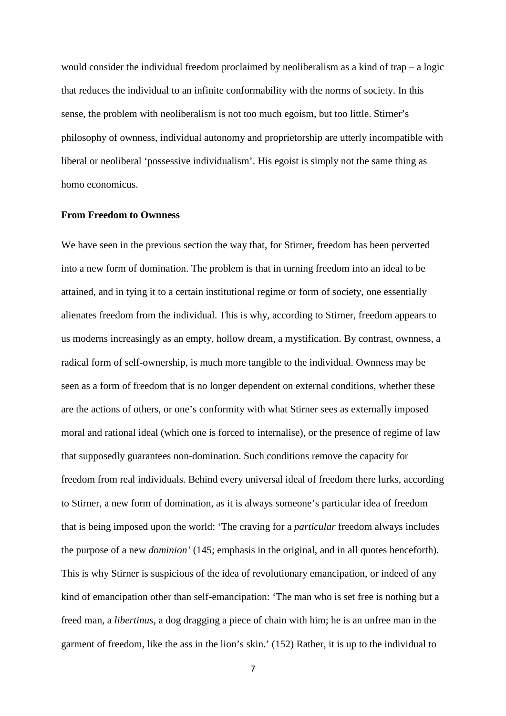would consider the individual freedom proclaimed by neoliberalism as a kind of trap – a logic that reduces the individual to an infinite conformability with the norms of society. In this sense, the problem with neoliberalism is not too much egoism, but too little. Stirner's philosophy of ownness, individual autonomy and proprietorship are utterly incompatible with liberal or neoliberal 'possessive individualism'. His egoist is simply not the same thing as homo economicus.

### **From Freedom to Ownness**

We have seen in the previous section the way that, for Stirner, freedom has been perverted into a new form of domination. The problem is that in turning freedom into an ideal to be attained, and in tying it to a certain institutional regime or form of society, one essentially alienates freedom from the individual. This is why, according to Stirner, freedom appears to us moderns increasingly as an empty, hollow dream, a mystification. By contrast, ownness, a radical form of self-ownership, is much more tangible to the individual. Ownness may be seen as a form of freedom that is no longer dependent on external conditions, whether these are the actions of others, or one's conformity with what Stirner sees as externally imposed moral and rational ideal (which one is forced to internalise), or the presence of regime of law that supposedly guarantees non-domination. Such conditions remove the capacity for freedom from real individuals. Behind every universal ideal of freedom there lurks, according to Stirner, a new form of domination, as it is always someone's particular idea of freedom that is being imposed upon the world: 'The craving for a *particular* freedom always includes the purpose of a new *dominion'* (145; emphasis in the original, and in all quotes henceforth). This is why Stirner is suspicious of the idea of revolutionary emancipation, or indeed of any kind of emancipation other than self-emancipation: 'The man who is set free is nothing but a freed man, a *libertinus*, a dog dragging a piece of chain with him; he is an unfree man in the garment of freedom, like the ass in the lion's skin.' (152) Rather, it is up to the individual to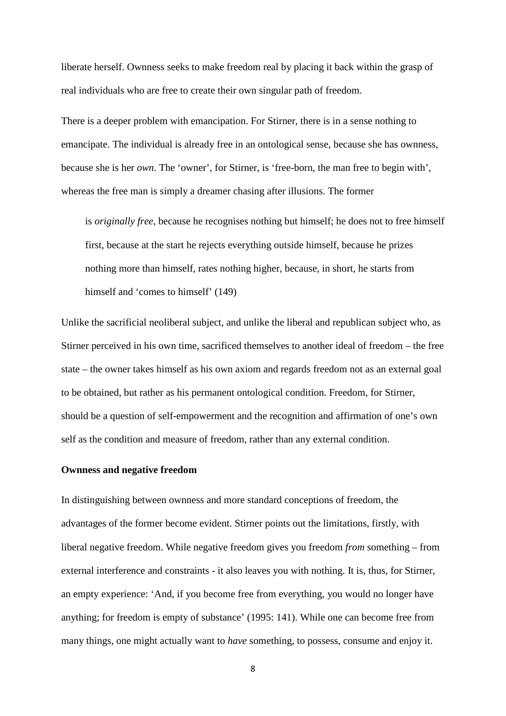liberate herself. Ownness seeks to make freedom real by placing it back within the grasp of real individuals who are free to create their own singular path of freedom.

There is a deeper problem with emancipation. For Stirner, there is in a sense nothing to emancipate. The individual is already free in an ontological sense, because she has ownness, because she is her *own*. The 'owner', for Stirner, is 'free-born, the man free to begin with', whereas the free man is simply a dreamer chasing after illusions. The former

is *originally free,* because he recognises nothing but himself; he does not to free himself first, because at the start he rejects everything outside himself, because he prizes nothing more than himself, rates nothing higher, because, in short, he starts from himself and 'comes to himself' (149)

Unlike the sacrificial neoliberal subject, and unlike the liberal and republican subject who, as Stirner perceived in his own time, sacrificed themselves to another ideal of freedom – the free state – the owner takes himself as his own axiom and regards freedom not as an external goal to be obtained, but rather as his permanent ontological condition. Freedom, for Stirner, should be a question of self-empowerment and the recognition and affirmation of one's own self as the condition and measure of freedom, rather than any external condition.

#### **Ownness and negative freedom**

In distinguishing between ownness and more standard conceptions of freedom, the advantages of the former become evident. Stirner points out the limitations, firstly, with liberal negative freedom. While negative freedom gives you freedom *from* something – from external interference and constraints - it also leaves you with nothing. It is, thus, for Stirner, an empty experience: 'And, if you become free from everything, you would no longer have anything; for freedom is empty of substance' (1995: 141). While one can become free from many things, one might actually want to *have* something, to possess, consume and enjoy it.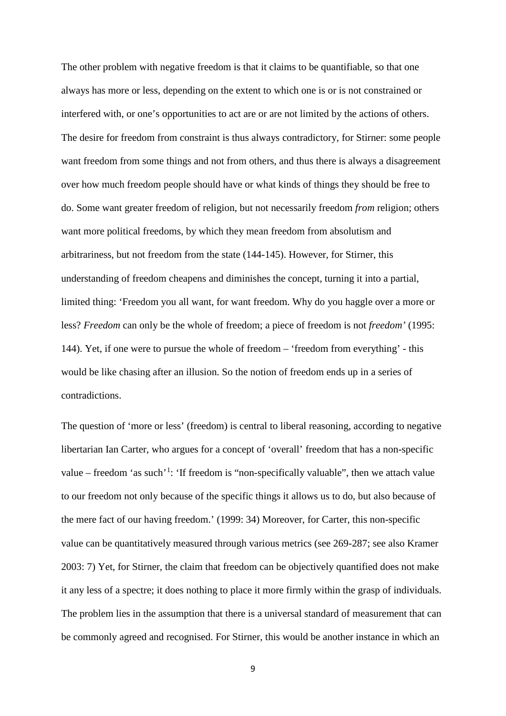The other problem with negative freedom is that it claims to be quantifiable, so that one always has more or less, depending on the extent to which one is or is not constrained or interfered with, or one's opportunities to act are or are not limited by the actions of others. The desire for freedom from constraint is thus always contradictory, for Stirner: some people want freedom from some things and not from others, and thus there is always a disagreement over how much freedom people should have or what kinds of things they should be free to do. Some want greater freedom of religion, but not necessarily freedom *from* religion; others want more political freedoms, by which they mean freedom from absolutism and arbitrariness, but not freedom from the state (144-145). However, for Stirner, this understanding of freedom cheapens and diminishes the concept, turning it into a partial, limited thing: 'Freedom you all want, for want freedom. Why do you haggle over a more or less? *Freedom* can only be the whole of freedom; a piece of freedom is not *freedom'* (1995: 144). Yet, if one were to pursue the whole of freedom – 'freedom from everything' - this would be like chasing after an illusion. So the notion of freedom ends up in a series of contradictions.

The question of 'more or less' (freedom) is central to liberal reasoning, according to negative libertarian Ian Carter, who argues for a concept of 'overall' freedom that has a non-specific value – freedom 'as such'<sup>[1](#page-30-0)</sup>: 'If freedom is "non-specifically valuable", then we attach value to our freedom not only because of the specific things it allows us to do, but also because of the mere fact of our having freedom.' (1999: 34) Moreover, for Carter, this non-specific value can be quantitatively measured through various metrics (see 269-287; see also Kramer 2003: 7) Yet, for Stirner, the claim that freedom can be objectively quantified does not make it any less of a spectre; it does nothing to place it more firmly within the grasp of individuals. The problem lies in the assumption that there is a universal standard of measurement that can be commonly agreed and recognised. For Stirner, this would be another instance in which an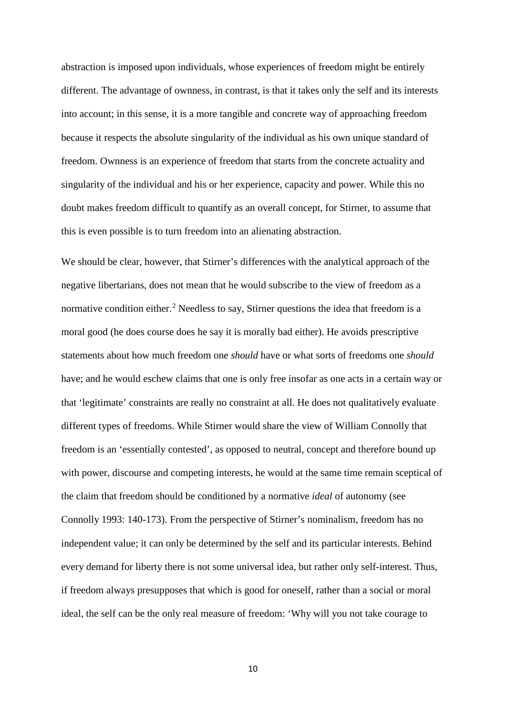abstraction is imposed upon individuals, whose experiences of freedom might be entirely different. The advantage of ownness, in contrast, is that it takes only the self and its interests into account; in this sense, it is a more tangible and concrete way of approaching freedom because it respects the absolute singularity of the individual as his own unique standard of freedom. Ownness is an experience of freedom that starts from the concrete actuality and singularity of the individual and his or her experience, capacity and power. While this no doubt makes freedom difficult to quantify as an overall concept, for Stirner, to assume that this is even possible is to turn freedom into an alienating abstraction.

We should be clear, however, that Stirner's differences with the analytical approach of the negative libertarians, does not mean that he would subscribe to the view of freedom as a normative condition either. [2](#page-30-1) Needless to say, Stirner questions the idea that freedom is a moral good (he does course does he say it is morally bad either). He avoids prescriptive statements about how much freedom one *should* have or what sorts of freedoms one *should* have; and he would eschew claims that one is only free insofar as one acts in a certain way or that 'legitimate' constraints are really no constraint at all. He does not qualitatively evaluate different types of freedoms. While Stirner would share the view of William Connolly that freedom is an 'essentially contested', as opposed to neutral, concept and therefore bound up with power, discourse and competing interests, he would at the same time remain sceptical of the claim that freedom should be conditioned by a normative *ideal* of autonomy (see Connolly 1993: 140-173). From the perspective of Stirner's nominalism, freedom has no independent value; it can only be determined by the self and its particular interests. Behind every demand for liberty there is not some universal idea, but rather only self-interest. Thus, if freedom always presupposes that which is good for oneself, rather than a social or moral ideal, the self can be the only real measure of freedom: 'Why will you not take courage to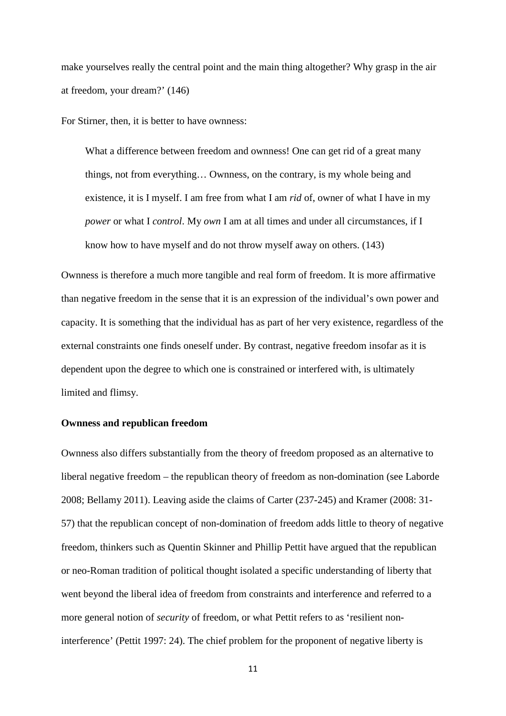make yourselves really the central point and the main thing altogether? Why grasp in the air at freedom, your dream?' (146)

For Stirner, then, it is better to have ownness:

What a difference between freedom and ownness! One can get rid of a great many things, not from everything… Ownness, on the contrary, is my whole being and existence, it is I myself. I am free from what I am *rid* of, owner of what I have in my *power* or what I *control*. My *own* I am at all times and under all circumstances, if I know how to have myself and do not throw myself away on others. (143)

Ownness is therefore a much more tangible and real form of freedom. It is more affirmative than negative freedom in the sense that it is an expression of the individual's own power and capacity. It is something that the individual has as part of her very existence, regardless of the external constraints one finds oneself under. By contrast, negative freedom insofar as it is dependent upon the degree to which one is constrained or interfered with, is ultimately limited and flimsy.

# **Ownness and republican freedom**

Ownness also differs substantially from the theory of freedom proposed as an alternative to liberal negative freedom – the republican theory of freedom as non-domination (see Laborde 2008; Bellamy 2011). Leaving aside the claims of Carter (237-245) and Kramer (2008: 31- 57) that the republican concept of non-domination of freedom adds little to theory of negative freedom, thinkers such as Quentin Skinner and Phillip Pettit have argued that the republican or neo-Roman tradition of political thought isolated a specific understanding of liberty that went beyond the liberal idea of freedom from constraints and interference and referred to a more general notion of *security* of freedom, or what Pettit refers to as 'resilient noninterference' (Pettit 1997: 24). The chief problem for the proponent of negative liberty is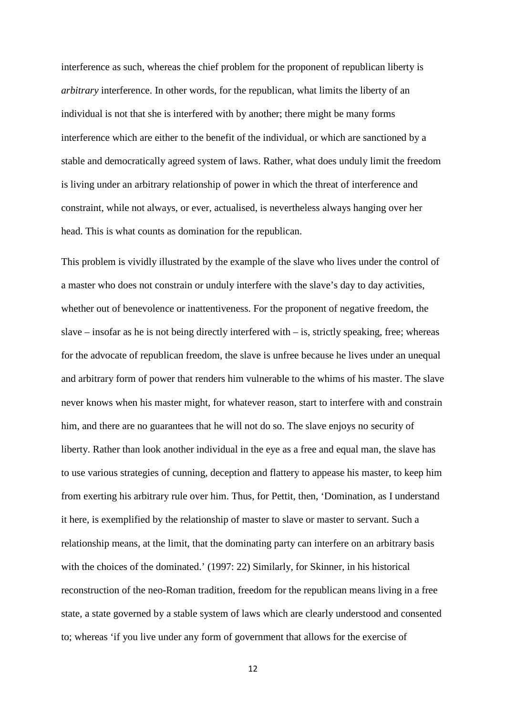interference as such, whereas the chief problem for the proponent of republican liberty is *arbitrary* interference. In other words, for the republican, what limits the liberty of an individual is not that she is interfered with by another; there might be many forms interference which are either to the benefit of the individual, or which are sanctioned by a stable and democratically agreed system of laws. Rather, what does unduly limit the freedom is living under an arbitrary relationship of power in which the threat of interference and constraint, while not always, or ever, actualised, is nevertheless always hanging over her head. This is what counts as domination for the republican.

This problem is vividly illustrated by the example of the slave who lives under the control of a master who does not constrain or unduly interfere with the slave's day to day activities, whether out of benevolence or inattentiveness. For the proponent of negative freedom, the slave – insofar as he is not being directly interfered with – is, strictly speaking, free; whereas for the advocate of republican freedom, the slave is unfree because he lives under an unequal and arbitrary form of power that renders him vulnerable to the whims of his master. The slave never knows when his master might, for whatever reason, start to interfere with and constrain him, and there are no guarantees that he will not do so. The slave enjoys no security of liberty. Rather than look another individual in the eye as a free and equal man, the slave has to use various strategies of cunning, deception and flattery to appease his master, to keep him from exerting his arbitrary rule over him. Thus, for Pettit, then, 'Domination, as I understand it here, is exemplified by the relationship of master to slave or master to servant. Such a relationship means, at the limit, that the dominating party can interfere on an arbitrary basis with the choices of the dominated.' (1997: 22) Similarly, for Skinner, in his historical reconstruction of the neo-Roman tradition, freedom for the republican means living in a free state, a state governed by a stable system of laws which are clearly understood and consented to; whereas 'if you live under any form of government that allows for the exercise of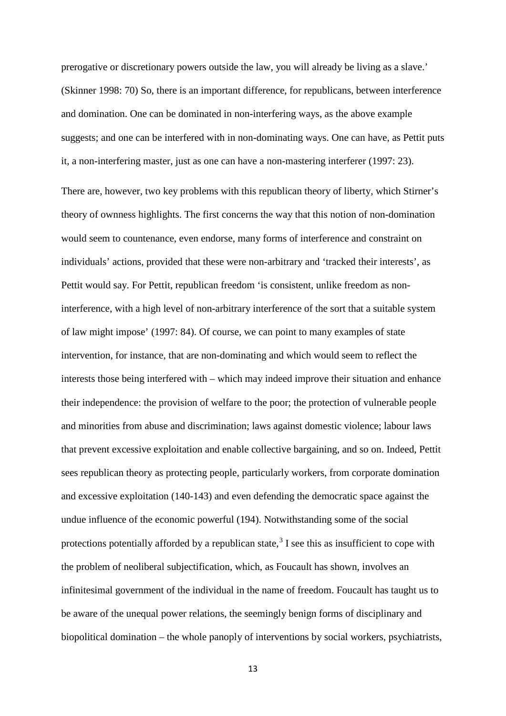prerogative or discretionary powers outside the law, you will already be living as a slave.' (Skinner 1998: 70) So, there is an important difference, for republicans, between interference and domination. One can be dominated in non-interfering ways, as the above example suggests; and one can be interfered with in non-dominating ways. One can have, as Pettit puts it, a non-interfering master, just as one can have a non-mastering interferer (1997: 23).

There are, however, two key problems with this republican theory of liberty, which Stirner's theory of ownness highlights. The first concerns the way that this notion of non-domination would seem to countenance, even endorse, many forms of interference and constraint on individuals' actions, provided that these were non-arbitrary and 'tracked their interests', as Pettit would say. For Pettit, republican freedom 'is consistent, unlike freedom as noninterference, with a high level of non-arbitrary interference of the sort that a suitable system of law might impose' (1997: 84). Of course, we can point to many examples of state intervention, for instance, that are non-dominating and which would seem to reflect the interests those being interfered with – which may indeed improve their situation and enhance their independence: the provision of welfare to the poor; the protection of vulnerable people and minorities from abuse and discrimination; laws against domestic violence; labour laws that prevent excessive exploitation and enable collective bargaining, and so on. Indeed, Pettit sees republican theory as protecting people, particularly workers, from corporate domination and excessive exploitation (140-143) and even defending the democratic space against the undue influence of the economic powerful (194). Notwithstanding some of the social protections potentially afforded by a republican state,  $3<sup>3</sup>$  $3<sup>3</sup>$  I see this as insufficient to cope with the problem of neoliberal subjectification, which, as Foucault has shown, involves an infinitesimal government of the individual in the name of freedom. Foucault has taught us to be aware of the unequal power relations, the seemingly benign forms of disciplinary and biopolitical domination – the whole panoply of interventions by social workers, psychiatrists,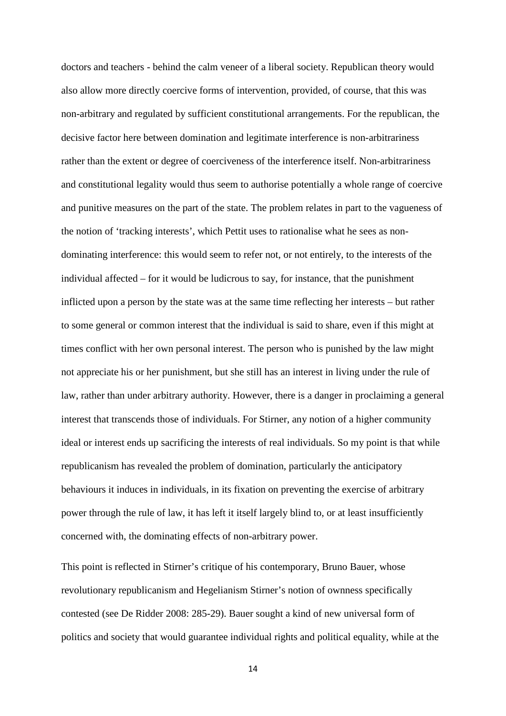doctors and teachers - behind the calm veneer of a liberal society. Republican theory would also allow more directly coercive forms of intervention, provided, of course, that this was non-arbitrary and regulated by sufficient constitutional arrangements. For the republican, the decisive factor here between domination and legitimate interference is non-arbitrariness rather than the extent or degree of coerciveness of the interference itself. Non-arbitrariness and constitutional legality would thus seem to authorise potentially a whole range of coercive and punitive measures on the part of the state. The problem relates in part to the vagueness of the notion of 'tracking interests', which Pettit uses to rationalise what he sees as nondominating interference: this would seem to refer not, or not entirely, to the interests of the individual affected – for it would be ludicrous to say, for instance, that the punishment inflicted upon a person by the state was at the same time reflecting her interests – but rather to some general or common interest that the individual is said to share, even if this might at times conflict with her own personal interest. The person who is punished by the law might not appreciate his or her punishment, but she still has an interest in living under the rule of law, rather than under arbitrary authority. However, there is a danger in proclaiming a general interest that transcends those of individuals. For Stirner, any notion of a higher community ideal or interest ends up sacrificing the interests of real individuals. So my point is that while republicanism has revealed the problem of domination, particularly the anticipatory behaviours it induces in individuals, in its fixation on preventing the exercise of arbitrary power through the rule of law, it has left it itself largely blind to, or at least insufficiently concerned with, the dominating effects of non-arbitrary power.

This point is reflected in Stirner's critique of his contemporary, Bruno Bauer, whose revolutionary republicanism and Hegelianism Stirner's notion of ownness specifically contested (see De Ridder 2008: 285-29). Bauer sought a kind of new universal form of politics and society that would guarantee individual rights and political equality, while at the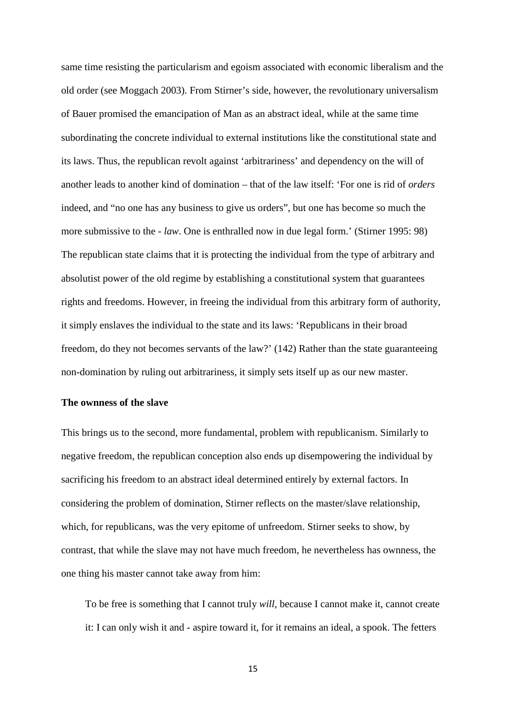same time resisting the particularism and egoism associated with economic liberalism and the old order (see Moggach 2003). From Stirner's side, however, the revolutionary universalism of Bauer promised the emancipation of Man as an abstract ideal, while at the same time subordinating the concrete individual to external institutions like the constitutional state and its laws. Thus, the republican revolt against 'arbitrariness' and dependency on the will of another leads to another kind of domination – that of the law itself: 'For one is rid of *orders* indeed, and "no one has any business to give us orders", but one has become so much the more submissive to the - *law*. One is enthralled now in due legal form.' (Stirner 1995: 98) The republican state claims that it is protecting the individual from the type of arbitrary and absolutist power of the old regime by establishing a constitutional system that guarantees rights and freedoms. However, in freeing the individual from this arbitrary form of authority, it simply enslaves the individual to the state and its laws: 'Republicans in their broad freedom, do they not becomes servants of the law?' (142) Rather than the state guaranteeing non-domination by ruling out arbitrariness, it simply sets itself up as our new master.

#### **The ownness of the slave**

This brings us to the second, more fundamental, problem with republicanism. Similarly to negative freedom, the republican conception also ends up disempowering the individual by sacrificing his freedom to an abstract ideal determined entirely by external factors. In considering the problem of domination, Stirner reflects on the master/slave relationship, which, for republicans, was the very epitome of unfreedom. Stirner seeks to show, by contrast, that while the slave may not have much freedom, he nevertheless has ownness, the one thing his master cannot take away from him:

To be free is something that I cannot truly *will*, because I cannot make it, cannot create it: I can only wish it and - aspire toward it, for it remains an ideal, a spook. The fetters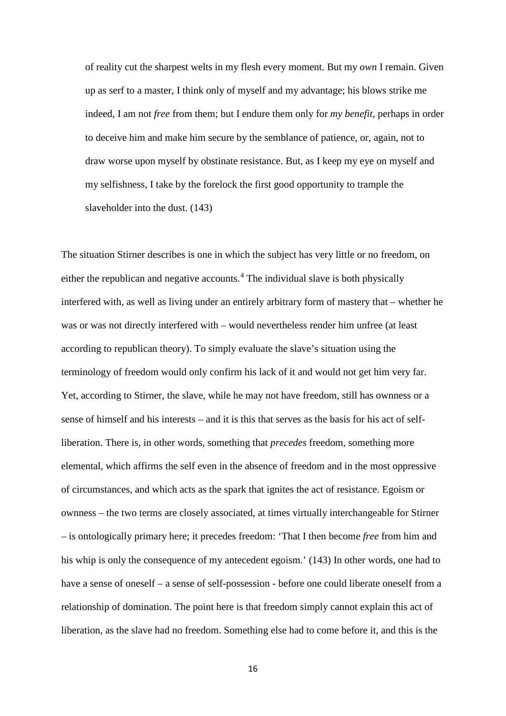of reality cut the sharpest welts in my flesh every moment. But my *own* I remain. Given up as serf to a master, I think only of myself and my advantage; his blows strike me indeed, I am not *free* from them; but I endure them only for *my benefit,* perhaps in order to deceive him and make him secure by the semblance of patience, or, again, not to draw worse upon myself by obstinate resistance. But, as I keep my eye on myself and my selfishness, I take by the forelock the first good opportunity to trample the slaveholder into the dust. (143)

The situation Stirner describes is one in which the subject has very little or no freedom, on either the republican and negative accounts.<sup>[4](#page-30-3)</sup> The individual slave is both physically interfered with, as well as living under an entirely arbitrary form of mastery that – whether he was or was not directly interfered with – would nevertheless render him unfree (at least according to republican theory). To simply evaluate the slave's situation using the terminology of freedom would only confirm his lack of it and would not get him very far. Yet, according to Stirner, the slave, while he may not have freedom, still has ownness or a sense of himself and his interests – and it is this that serves as the basis for his act of selfliberation. There is, in other words, something that *precedes* freedom, something more elemental, which affirms the self even in the absence of freedom and in the most oppressive of circumstances, and which acts as the spark that ignites the act of resistance. Egoism or ownness – the two terms are closely associated, at times virtually interchangeable for Stirner – is ontologically primary here; it precedes freedom: 'That I then become *free* from him and his whip is only the consequence of my antecedent egoism.' (143) In other words, one had to have a sense of oneself – a sense of self-possession - before one could liberate oneself from a relationship of domination. The point here is that freedom simply cannot explain this act of liberation, as the slave had no freedom. Something else had to come before it, and this is the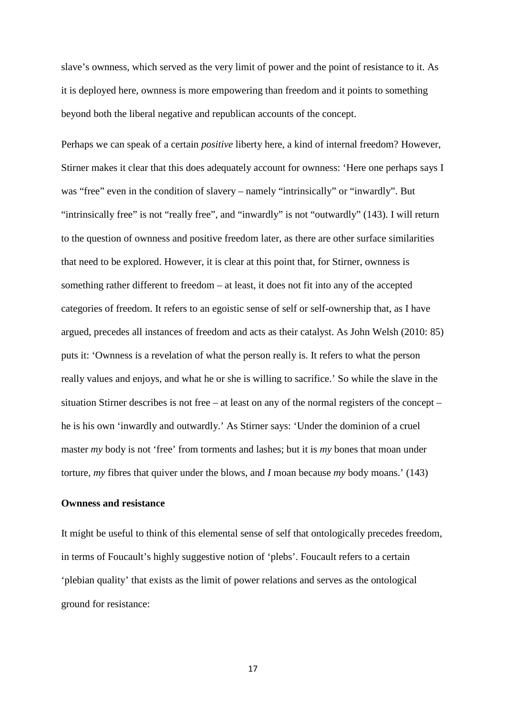slave's ownness, which served as the very limit of power and the point of resistance to it. As it is deployed here, ownness is more empowering than freedom and it points to something beyond both the liberal negative and republican accounts of the concept.

Perhaps we can speak of a certain *positive* liberty here, a kind of internal freedom? However, Stirner makes it clear that this does adequately account for ownness: 'Here one perhaps says I was "free" even in the condition of slavery – namely "intrinsically" or "inwardly". But "intrinsically free" is not "really free", and "inwardly" is not "outwardly" (143). I will return to the question of ownness and positive freedom later, as there are other surface similarities that need to be explored. However, it is clear at this point that, for Stirner, ownness is something rather different to freedom – at least, it does not fit into any of the accepted categories of freedom. It refers to an egoistic sense of self or self-ownership that, as I have argued, precedes all instances of freedom and acts as their catalyst. As John Welsh (2010: 85) puts it: 'Ownness is a revelation of what the person really is. It refers to what the person really values and enjoys, and what he or she is willing to sacrifice.' So while the slave in the situation Stirner describes is not free – at least on any of the normal registers of the concept – he is his own 'inwardly and outwardly.' As Stirner says: 'Under the dominion of a cruel master *my* body is not 'free' from torments and lashes; but it is *my* bones that moan under torture, *my* fibres that quiver under the blows, and *I* moan because *my* body moans.' (143)

### **Ownness and resistance**

It might be useful to think of this elemental sense of self that ontologically precedes freedom, in terms of Foucault's highly suggestive notion of 'plebs'. Foucault refers to a certain 'plebian quality' that exists as the limit of power relations and serves as the ontological ground for resistance: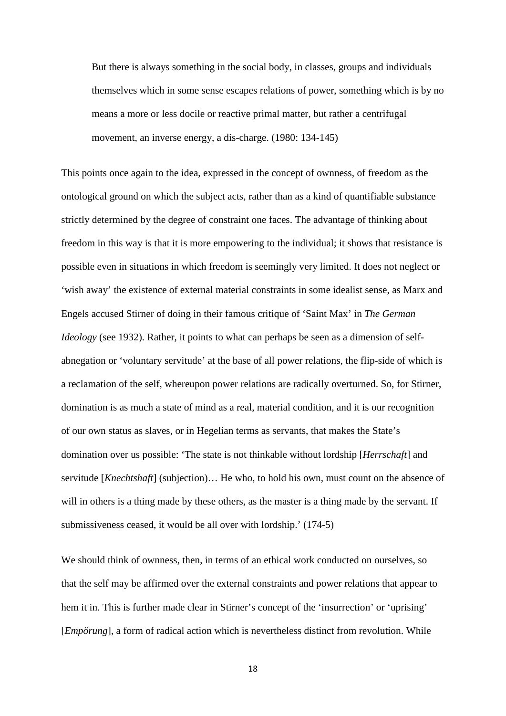But there is always something in the social body, in classes, groups and individuals themselves which in some sense escapes relations of power, something which is by no means a more or less docile or reactive primal matter, but rather a centrifugal movement, an inverse energy, a dis-charge. (1980: 134-145)

This points once again to the idea, expressed in the concept of ownness, of freedom as the ontological ground on which the subject acts, rather than as a kind of quantifiable substance strictly determined by the degree of constraint one faces. The advantage of thinking about freedom in this way is that it is more empowering to the individual; it shows that resistance is possible even in situations in which freedom is seemingly very limited. It does not neglect or 'wish away' the existence of external material constraints in some idealist sense, as Marx and Engels accused Stirner of doing in their famous critique of 'Saint Max' in *The German Ideology* (see 1932). Rather, it points to what can perhaps be seen as a dimension of selfabnegation or 'voluntary servitude' at the base of all power relations, the flip-side of which is a reclamation of the self, whereupon power relations are radically overturned. So, for Stirner, domination is as much a state of mind as a real, material condition, and it is our recognition of our own status as slaves, or in Hegelian terms as servants, that makes the State's domination over us possible: 'The state is not thinkable without lordship [*Herrschaft*] and servitude [*Knechtshaft*] (subjection)… He who, to hold his own, must count on the absence of will in others is a thing made by these others, as the master is a thing made by the servant. If submissiveness ceased, it would be all over with lordship.' (174-5)

We should think of ownness, then, in terms of an ethical work conducted on ourselves, so that the self may be affirmed over the external constraints and power relations that appear to hem it in. This is further made clear in Stirner's concept of the 'insurrection' or 'uprising' [*Empörung*], a form of radical action which is nevertheless distinct from revolution. While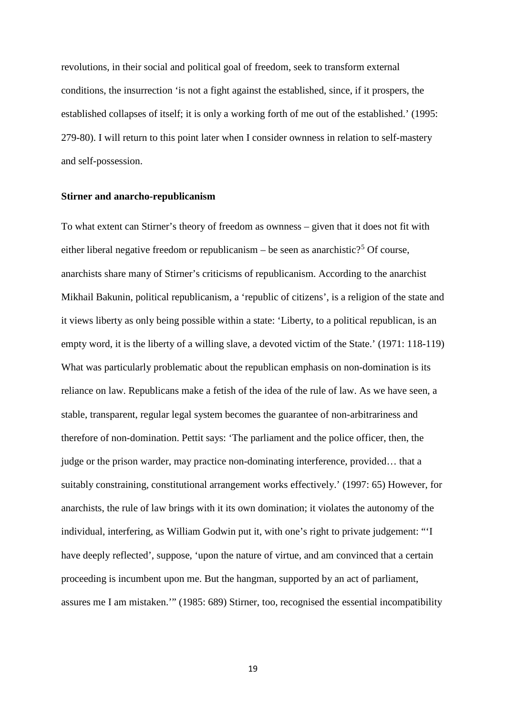revolutions, in their social and political goal of freedom, seek to transform external conditions, the insurrection 'is not a fight against the established, since, if it prospers, the established collapses of itself; it is only a working forth of me out of the established.' (1995: 279-80). I will return to this point later when I consider ownness in relation to self-mastery and self-possession.

## **Stirner and anarcho-republicanism**

To what extent can Stirner's theory of freedom as ownness – given that it does not fit with either liberal negative freedom or republicanism – be seen as anarchistic?<sup>[5](#page-30-4)</sup> Of course, anarchists share many of Stirner's criticisms of republicanism. According to the anarchist Mikhail Bakunin, political republicanism, a 'republic of citizens', is a religion of the state and it views liberty as only being possible within a state: 'Liberty, to a political republican, is an empty word, it is the liberty of a willing slave, a devoted victim of the State.' (1971: 118-119) What was particularly problematic about the republican emphasis on non-domination is its reliance on law. Republicans make a fetish of the idea of the rule of law. As we have seen, a stable, transparent, regular legal system becomes the guarantee of non-arbitrariness and therefore of non-domination. Pettit says: 'The parliament and the police officer, then, the judge or the prison warder, may practice non-dominating interference, provided… that a suitably constraining, constitutional arrangement works effectively.' (1997: 65) However, for anarchists, the rule of law brings with it its own domination; it violates the autonomy of the individual, interfering, as William Godwin put it, with one's right to private judgement: "'I have deeply reflected', suppose, 'upon the nature of virtue, and am convinced that a certain proceeding is incumbent upon me. But the hangman, supported by an act of parliament, assures me I am mistaken.'" (1985: 689) Stirner, too, recognised the essential incompatibility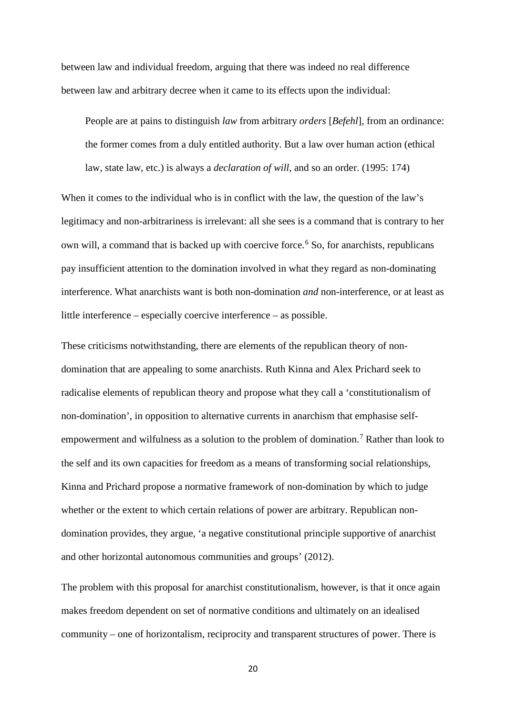between law and individual freedom, arguing that there was indeed no real difference between law and arbitrary decree when it came to its effects upon the individual:

People are at pains to distinguish *law* from arbitrary *orders* [*Befehl*], from an ordinance: the former comes from a duly entitled authority. But a law over human action (ethical law, state law, etc.) is always a *declaration of will*, and so an order. (1995: 174)

When it comes to the individual who is in conflict with the law, the question of the law's legitimacy and non-arbitrariness is irrelevant: all she sees is a command that is contrary to her own will, a command that is backed up with coercive force.<sup>[6](#page-30-5)</sup> So, for anarchists, republicans pay insufficient attention to the domination involved in what they regard as non-dominating interference. What anarchists want is both non-domination *and* non-interference, or at least as little interference – especially coercive interference – as possible.

These criticisms notwithstanding, there are elements of the republican theory of nondomination that are appealing to some anarchists. Ruth Kinna and Alex Prichard seek to radicalise elements of republican theory and propose what they call a 'constitutionalism of non-domination', in opposition to alternative currents in anarchism that emphasise selfempowerment and wilfulness as a solution to the problem of domination.[7](#page-30-6) Rather than look to the self and its own capacities for freedom as a means of transforming social relationships, Kinna and Prichard propose a normative framework of non-domination by which to judge whether or the extent to which certain relations of power are arbitrary. Republican nondomination provides, they argue, 'a negative constitutional principle supportive of anarchist and other horizontal autonomous communities and groups' (2012).

The problem with this proposal for anarchist constitutionalism, however, is that it once again makes freedom dependent on set of normative conditions and ultimately on an idealised community – one of horizontalism, reciprocity and transparent structures of power. There is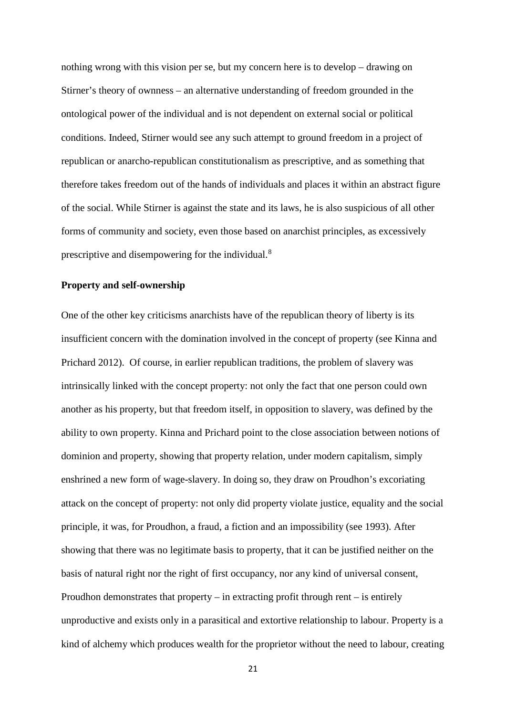nothing wrong with this vision per se, but my concern here is to develop – drawing on Stirner's theory of ownness – an alternative understanding of freedom grounded in the ontological power of the individual and is not dependent on external social or political conditions. Indeed, Stirner would see any such attempt to ground freedom in a project of republican or anarcho-republican constitutionalism as prescriptive, and as something that therefore takes freedom out of the hands of individuals and places it within an abstract figure of the social. While Stirner is against the state and its laws, he is also suspicious of all other forms of community and society, even those based on anarchist principles, as excessively prescriptive and disempowering for the individual.[8](#page-30-7)

## **Property and self-ownership**

One of the other key criticisms anarchists have of the republican theory of liberty is its insufficient concern with the domination involved in the concept of property (see Kinna and Prichard 2012). Of course, in earlier republican traditions, the problem of slavery was intrinsically linked with the concept property: not only the fact that one person could own another as his property, but that freedom itself, in opposition to slavery, was defined by the ability to own property. Kinna and Prichard point to the close association between notions of dominion and property, showing that property relation, under modern capitalism, simply enshrined a new form of wage-slavery. In doing so, they draw on Proudhon's excoriating attack on the concept of property: not only did property violate justice, equality and the social principle, it was, for Proudhon, a fraud, a fiction and an impossibility (see 1993). After showing that there was no legitimate basis to property, that it can be justified neither on the basis of natural right nor the right of first occupancy, nor any kind of universal consent, Proudhon demonstrates that property – in extracting profit through rent – is entirely unproductive and exists only in a parasitical and extortive relationship to labour. Property is a kind of alchemy which produces wealth for the proprietor without the need to labour, creating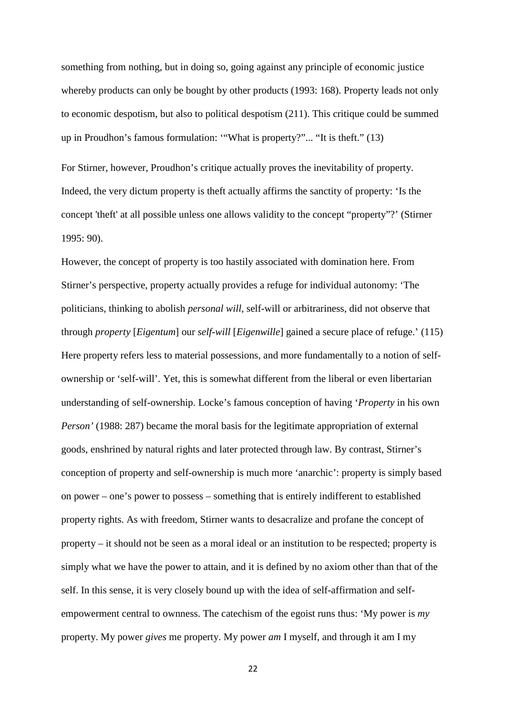something from nothing, but in doing so, going against any principle of economic justice whereby products can only be bought by other products (1993: 168). Property leads not only to economic despotism, but also to political despotism (211). This critique could be summed up in Proudhon's famous formulation: '"What is property?"... "It is theft." (13)

For Stirner, however, Proudhon's critique actually proves the inevitability of property. Indeed, the very dictum property is theft actually affirms the sanctity of property: 'Is the concept 'theft' at all possible unless one allows validity to the concept "property"?' (Stirner 1995: 90).

However, the concept of property is too hastily associated with domination here. From Stirner's perspective, property actually provides a refuge for individual autonomy: 'The politicians, thinking to abolish *personal will*, self-will or arbitrariness, did not observe that through *property* [*Eigentum*] our *self-will* [*Eigenwille*] gained a secure place of refuge.' (115) Here property refers less to material possessions, and more fundamentally to a notion of selfownership or 'self-will'. Yet, this is somewhat different from the liberal or even libertarian understanding of self-ownership. Locke's famous conception of having '*Property* in his own *Person'* (1988: 287) became the moral basis for the legitimate appropriation of external goods, enshrined by natural rights and later protected through law. By contrast, Stirner's conception of property and self-ownership is much more 'anarchic': property is simply based on power – one's power to possess – something that is entirely indifferent to established property rights. As with freedom, Stirner wants to desacralize and profane the concept of property – it should not be seen as a moral ideal or an institution to be respected; property is simply what we have the power to attain, and it is defined by no axiom other than that of the self. In this sense, it is very closely bound up with the idea of self-affirmation and selfempowerment central to ownness. The catechism of the egoist runs thus: 'My power is *my* property. My power *gives* me property. My power *am* I myself, and through it am I my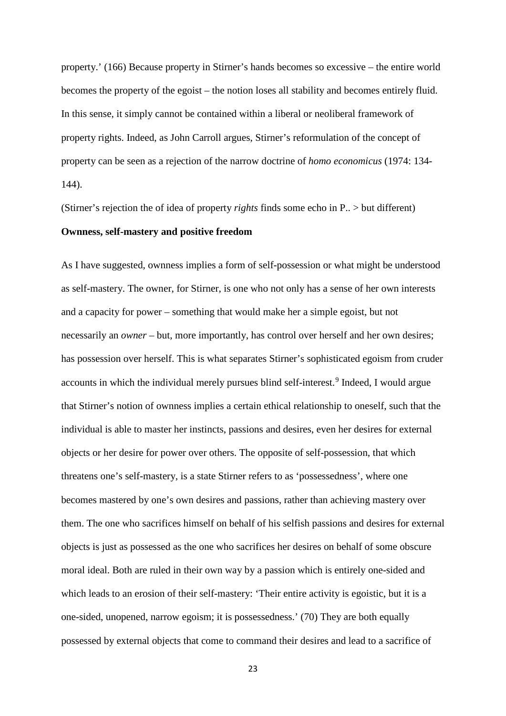property.' (166) Because property in Stirner's hands becomes so excessive – the entire world becomes the property of the egoist – the notion loses all stability and becomes entirely fluid. In this sense, it simply cannot be contained within a liberal or neoliberal framework of property rights. Indeed, as John Carroll argues, Stirner's reformulation of the concept of property can be seen as a rejection of the narrow doctrine of *homo economicus* (1974: 134- 144).

(Stirner's rejection the of idea of property *rights* finds some echo in P.. > but different) **Ownness, self-mastery and positive freedom**

As I have suggested, ownness implies a form of self-possession or what might be understood as self-mastery. The owner, for Stirner, is one who not only has a sense of her own interests and a capacity for power – something that would make her a simple egoist, but not necessarily an *owner* – but, more importantly, has control over herself and her own desires; has possession over herself. This is what separates Stirner's sophisticated egoism from cruder accounts in which the individual merely pursues blind self-interest.<sup>[9](#page-31-0)</sup> Indeed, I would argue that Stirner's notion of ownness implies a certain ethical relationship to oneself, such that the individual is able to master her instincts, passions and desires, even her desires for external objects or her desire for power over others. The opposite of self-possession, that which threatens one's self-mastery, is a state Stirner refers to as 'possessedness', where one becomes mastered by one's own desires and passions, rather than achieving mastery over them. The one who sacrifices himself on behalf of his selfish passions and desires for external objects is just as possessed as the one who sacrifices her desires on behalf of some obscure moral ideal. Both are ruled in their own way by a passion which is entirely one-sided and which leads to an erosion of their self-mastery: 'Their entire activity is egoistic, but it is a one-sided, unopened, narrow egoism; it is possessedness.' (70) They are both equally possessed by external objects that come to command their desires and lead to a sacrifice of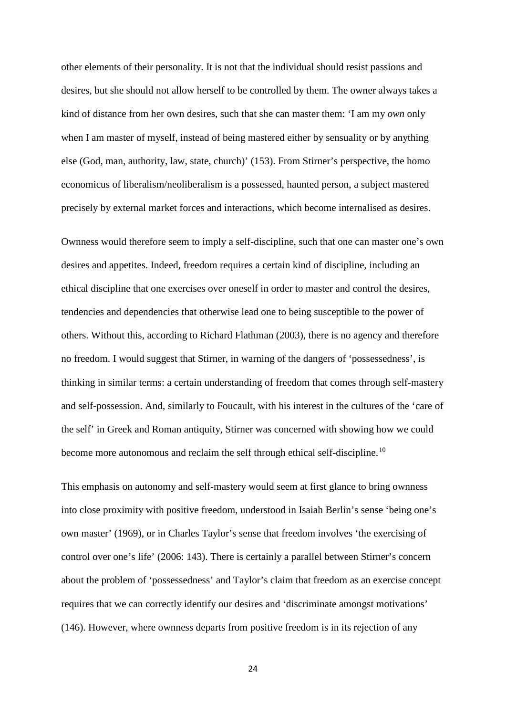other elements of their personality. It is not that the individual should resist passions and desires, but she should not allow herself to be controlled by them. The owner always takes a kind of distance from her own desires, such that she can master them: 'I am my *own* only when I am master of myself, instead of being mastered either by sensuality or by anything else (God, man, authority, law, state, church)' (153). From Stirner's perspective, the homo economicus of liberalism/neoliberalism is a possessed, haunted person, a subject mastered precisely by external market forces and interactions, which become internalised as desires.

Ownness would therefore seem to imply a self-discipline, such that one can master one's own desires and appetites. Indeed, freedom requires a certain kind of discipline, including an ethical discipline that one exercises over oneself in order to master and control the desires, tendencies and dependencies that otherwise lead one to being susceptible to the power of others. Without this, according to Richard Flathman (2003), there is no agency and therefore no freedom. I would suggest that Stirner, in warning of the dangers of 'possessedness', is thinking in similar terms: a certain understanding of freedom that comes through self-mastery and self-possession. And, similarly to Foucault, with his interest in the cultures of the 'care of the self' in Greek and Roman antiquity, Stirner was concerned with showing how we could become more autonomous and reclaim the self through ethical self-discipline.<sup>[10](#page-31-1)</sup>

This emphasis on autonomy and self-mastery would seem at first glance to bring ownness into close proximity with positive freedom, understood in Isaiah Berlin's sense 'being one's own master' (1969), or in Charles Taylor's sense that freedom involves 'the exercising of control over one's life' (2006: 143). There is certainly a parallel between Stirner's concern about the problem of 'possessedness' and Taylor's claim that freedom as an exercise concept requires that we can correctly identify our desires and 'discriminate amongst motivations' (146). However, where ownness departs from positive freedom is in its rejection of any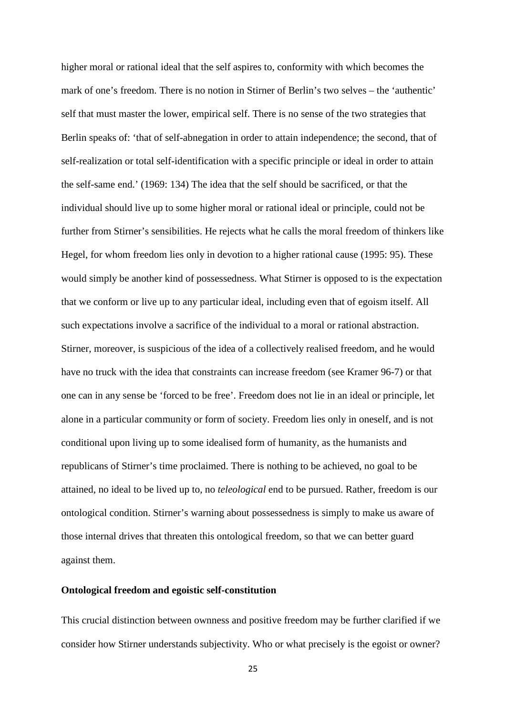higher moral or rational ideal that the self aspires to, conformity with which becomes the mark of one's freedom. There is no notion in Stirner of Berlin's two selves – the 'authentic' self that must master the lower, empirical self. There is no sense of the two strategies that Berlin speaks of: 'that of self-abnegation in order to attain independence; the second, that of self-realization or total self-identification with a specific principle or ideal in order to attain the self-same end.' (1969: 134) The idea that the self should be sacrificed, or that the individual should live up to some higher moral or rational ideal or principle, could not be further from Stirner's sensibilities. He rejects what he calls the moral freedom of thinkers like Hegel, for whom freedom lies only in devotion to a higher rational cause (1995: 95). These would simply be another kind of possessedness. What Stirner is opposed to is the expectation that we conform or live up to any particular ideal, including even that of egoism itself. All such expectations involve a sacrifice of the individual to a moral or rational abstraction. Stirner, moreover, is suspicious of the idea of a collectively realised freedom, and he would have no truck with the idea that constraints can increase freedom (see Kramer 96-7) or that one can in any sense be 'forced to be free'. Freedom does not lie in an ideal or principle, let alone in a particular community or form of society. Freedom lies only in oneself, and is not conditional upon living up to some idealised form of humanity, as the humanists and republicans of Stirner's time proclaimed. There is nothing to be achieved, no goal to be attained, no ideal to be lived up to, no *teleological* end to be pursued. Rather, freedom is our ontological condition. Stirner's warning about possessedness is simply to make us aware of those internal drives that threaten this ontological freedom, so that we can better guard against them.

### **Ontological freedom and egoistic self-constitution**

This crucial distinction between ownness and positive freedom may be further clarified if we consider how Stirner understands subjectivity. Who or what precisely is the egoist or owner?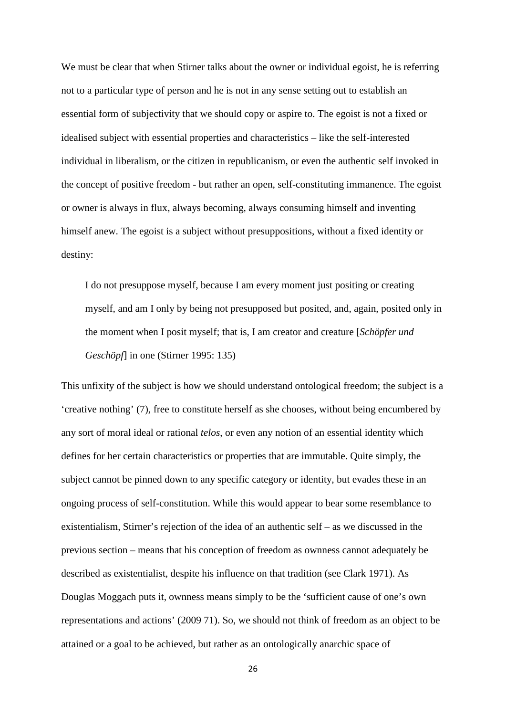We must be clear that when Stirner talks about the owner or individual egoist, he is referring not to a particular type of person and he is not in any sense setting out to establish an essential form of subjectivity that we should copy or aspire to. The egoist is not a fixed or idealised subject with essential properties and characteristics – like the self-interested individual in liberalism, or the citizen in republicanism, or even the authentic self invoked in the concept of positive freedom - but rather an open, self-constituting immanence. The egoist or owner is always in flux, always becoming, always consuming himself and inventing himself anew. The egoist is a subject without presuppositions, without a fixed identity or destiny:

I do not presuppose myself, because I am every moment just positing or creating myself, and am I only by being not presupposed but posited, and, again, posited only in the moment when I posit myself; that is, I am creator and creature [*Schöpfer und Geschöpf*] in one (Stirner 1995: 135)

This unfixity of the subject is how we should understand ontological freedom; the subject is a 'creative nothing' (7), free to constitute herself as she chooses, without being encumbered by any sort of moral ideal or rational *telos*, or even any notion of an essential identity which defines for her certain characteristics or properties that are immutable. Quite simply, the subject cannot be pinned down to any specific category or identity, but evades these in an ongoing process of self-constitution. While this would appear to bear some resemblance to existentialism, Stirner's rejection of the idea of an authentic self – as we discussed in the previous section – means that his conception of freedom as ownness cannot adequately be described as existentialist, despite his influence on that tradition (see Clark 1971). As Douglas Moggach puts it, ownness means simply to be the 'sufficient cause of one's own representations and actions' (2009 71). So, we should not think of freedom as an object to be attained or a goal to be achieved, but rather as an ontologically anarchic space of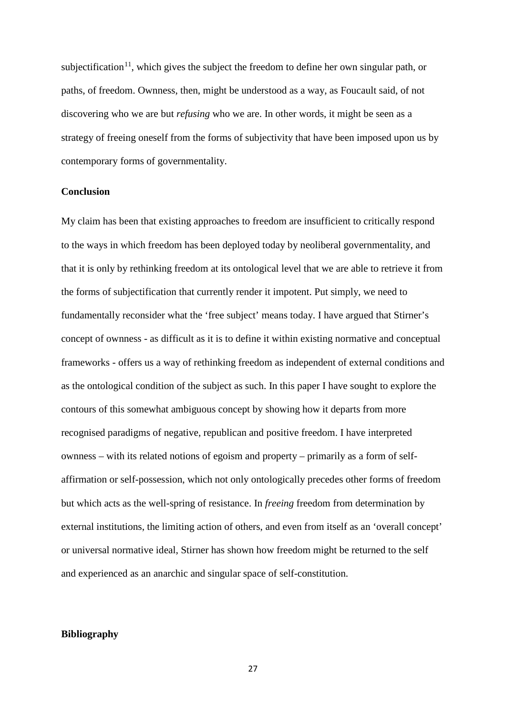subjectification<sup>11</sup>, which gives the subject the freedom to define her own singular path, or paths, of freedom. Ownness, then, might be understood as a way, as Foucault said, of not discovering who we are but *refusing* who we are. In other words, it might be seen as a strategy of freeing oneself from the forms of subjectivity that have been imposed upon us by contemporary forms of governmentality.

## **Conclusion**

My claim has been that existing approaches to freedom are insufficient to critically respond to the ways in which freedom has been deployed today by neoliberal governmentality, and that it is only by rethinking freedom at its ontological level that we are able to retrieve it from the forms of subjectification that currently render it impotent. Put simply, we need to fundamentally reconsider what the 'free subject' means today. I have argued that Stirner's concept of ownness - as difficult as it is to define it within existing normative and conceptual frameworks - offers us a way of rethinking freedom as independent of external conditions and as the ontological condition of the subject as such. In this paper I have sought to explore the contours of this somewhat ambiguous concept by showing how it departs from more recognised paradigms of negative, republican and positive freedom. I have interpreted ownness – with its related notions of egoism and property – primarily as a form of selfaffirmation or self-possession, which not only ontologically precedes other forms of freedom but which acts as the well-spring of resistance. In *freeing* freedom from determination by external institutions, the limiting action of others, and even from itself as an 'overall concept' or universal normative ideal, Stirner has shown how freedom might be returned to the self and experienced as an anarchic and singular space of self-constitution.

## **Bibliography**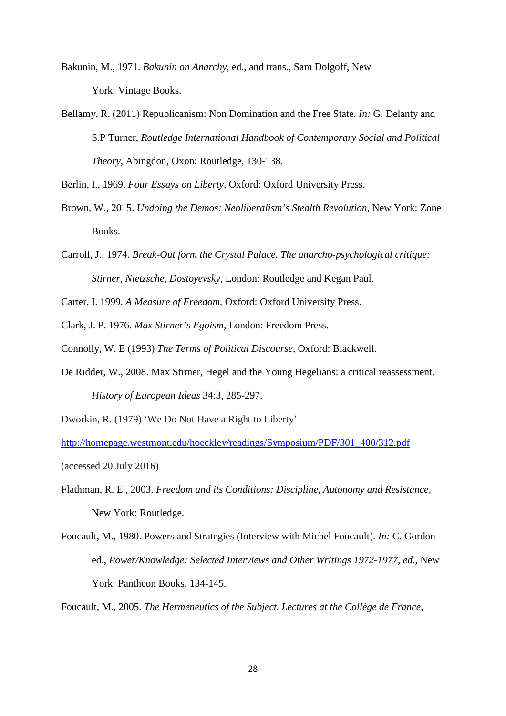Bakunin, M., 1971. *Bakunin on Anarchy,* ed., and trans., Sam Dolgoff, New York: Vintage Books.

Bellamy, R. (2011) Republicanism: Non Domination and the Free State. *In:* G. Delanty and S.P Turner, *Routledge International Handbook of Contemporary Social and Political Theory,* Abingdon, Oxon: Routledge, 130-138.

Berlin, I., 1969. *Four Essays on Liberty,* Oxford: Oxford University Press.

- Brown, W., 2015. *Undoing the Demos: Neoliberalism's Stealth Revolution,* New York: Zone Books.
- Carroll, J., 1974. *Break-Out form the Crystal Palace. The anarcho-psychological critique: Stirner, Nietzsche, Dostoyevsky*, London: Routledge and Kegan Paul.

Carter, I. 1999. *A Measure of Freedom,* Oxford: Oxford University Press.

Clark, J. P. 1976. *Max Stirner's Egoism,* London: Freedom Press.

Connolly, W. E (1993) *The Terms of Political Discourse,* Oxford: Blackwell.

De Ridder, W., 2008. Max Stirner, Hegel and the Young Hegelians: a critical reassessment. *History of European Ideas* 34:3, 285-297.

Dworkin, R. (1979) 'We Do Not Have a Right to Liberty'

[http://homepage.westmont.edu/hoeckley/readings/Symposium/PDF/301\\_400/312.pdf](http://homepage.westmont.edu/hoeckley/readings/Symposium/PDF/301_400/312.pdf)

(accessed 20 July 2016)

- Flathman, R. E., 2003. *Freedom and its Conditions: Discipline, Autonomy and Resistance,* New York: Routledge.
- Foucault, M., 1980. Powers and Strategies (Interview with Michel Foucault). *In:* C. Gordon ed., *Power/Knowledge: Selected Interviews and Other Writings 1972-1977, ed*., New York: Pantheon Books, 134-145.

Foucault, M., 2005. *The Hermeneutics of the Subject. Lectures at the Collège de France,*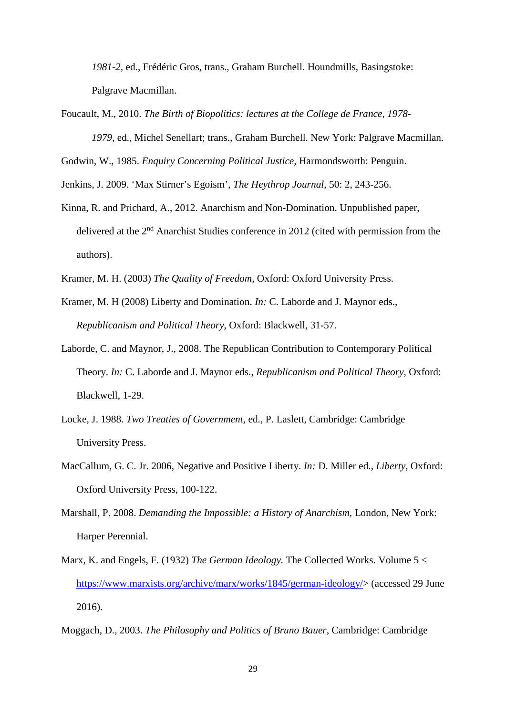*1981-2,* ed., Frédéric Gros, trans., Graham Burchell. Houndmills, Basingstoke: Palgrave Macmillan.

Foucault, M., 2010. *The Birth of Biopolitics: lectures at the College de France, 1978- 1979,* ed., Michel Senellart; trans., Graham Burchell. New York: Palgrave Macmillan.

Godwin, W., 1985. *Enquiry Concerning Political Justice,* Harmondsworth: Penguin.

Jenkins, J. 2009. 'Max Stirner's Egoism', *The Heythrop Journal,* 50: 2, 243-256.

- Kinna, R. and Prichard, A., 2012. Anarchism and Non-Domination. Unpublished paper, delivered at the 2nd Anarchist Studies conference in 2012 (cited with permission from the authors).
- Kramer, M. H. (2003) *The Quality of Freedom,* Oxford: Oxford University Press.
- Kramer, M. H (2008) Liberty and Domination. *In:* C. Laborde and J. Maynor eds., *Republicanism and Political Theory,* Oxford: Blackwell, 31-57.
- Laborde, C. and Maynor, J., 2008. The Republican Contribution to Contemporary Political Theory. *In:* C. Laborde and J. Maynor eds., *Republicanism and Political Theory,* Oxford: Blackwell, 1-29.
- Locke, J. 1988. *Two Treaties of Government,* ed., P. Laslett, Cambridge: Cambridge University Press.
- MacCallum, G. C. Jr. 2006, Negative and Positive Liberty. *In:* D. Miller ed., *Liberty*, Oxford: Oxford University Press, 100-122.
- Marshall, P. 2008. *Demanding the Impossible: a History of Anarchism,* London, New York: Harper Perennial.
- Marx, K. and Engels, F. (1932) *The German Ideology.* The Collected Works. Volume 5 < [https://www.marxists.org/archive/marx/works/1845/german-ideology/>](https://www.marxists.org/archive/marx/works/1845/german-ideology/) (accessed 29 June 2016).
- Moggach, D., 2003. *The Philosophy and Politics of Bruno Bauer,* Cambridge: Cambridge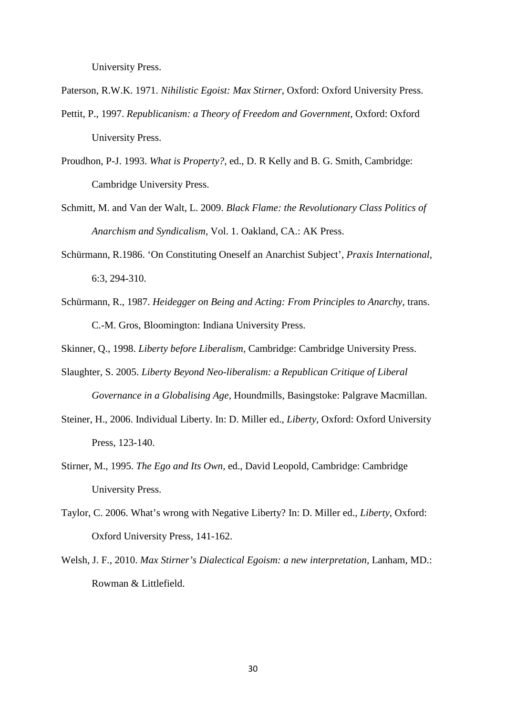University Press.

- Paterson, R.W.K. 1971. *Nihilistic Egoist: Max Stirner,* Oxford: Oxford University Press.
- Pettit, P., 1997. *Republicanism: a Theory of Freedom and Government,* Oxford: Oxford University Press.
- Proudhon, P-J. 1993. *What is Property?,* ed., D. R Kelly and B. G. Smith, Cambridge: Cambridge University Press.
- Schmitt, M. and Van der Walt, L. 2009. *Black Flame: the Revolutionary Class Politics of Anarchism and Syndicalism,* Vol. 1. Oakland, CA.: AK Press.
- Schürmann, R.1986. 'On Constituting Oneself an Anarchist Subject', *Praxis International,* 6:3, 294-310.
- Schürmann, R., 1987. *Heidegger on Being and Acting: From Principles to Anarchy*, trans. C.-M. Gros, Bloomington: Indiana University Press.
- Skinner, Q., 1998. *Liberty before Liberalism,* Cambridge: Cambridge University Press.
- Slaughter, S. 2005. *Liberty Beyond Neo-liberalism: a Republican Critique of Liberal Governance in a Globalising Age,* Houndmills, Basingstoke: Palgrave Macmillan.
- Steiner, H., 2006. Individual Liberty. In: D. Miller ed., *Liberty*, Oxford: Oxford University Press, 123-140.
- Stirner, M., 1995. *The Ego and Its Own,* ed., David Leopold, Cambridge: Cambridge University Press.
- Taylor, C. 2006. What's wrong with Negative Liberty? In: D. Miller ed., *Liberty*, Oxford: Oxford University Press, 141-162.
- Welsh, J. F., 2010. *Max Stirner's Dialectical Egoism: a new interpretation,* Lanham, MD.: Rowman & Littlefield.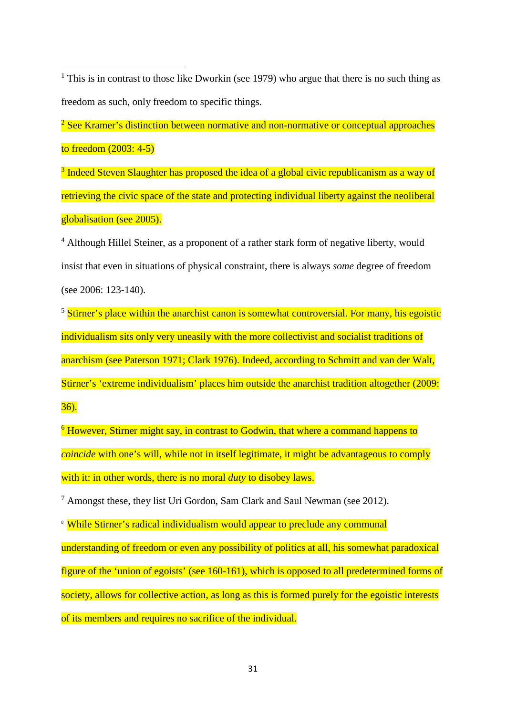<span id="page-30-0"></span> $<sup>1</sup>$  This is in contrast to those like Dworkin (see 1979) who argue that there is no such thing as</sup> freedom as such, only freedom to specific things.

**.** 

<span id="page-30-1"></span> $2$  See Kramer's distinction between normative and non-normative or conceptual approaches to freedom (2003: 4-5)

<span id="page-30-2"></span><sup>3</sup> Indeed Steven Slaughter has proposed the idea of a global civic republicanism as a way of retrieving the civic space of the state and protecting individual liberty against the neoliberal globalisation (see 2005).

<span id="page-30-3"></span><sup>4</sup> Although Hillel Steiner, as a proponent of a rather stark form of negative liberty, would insist that even in situations of physical constraint, there is always *some* degree of freedom (see 2006: 123-140).

<span id="page-30-4"></span><sup>5</sup> Stirner's place within the anarchist canon is somewhat controversial. For many, his egoistic individualism sits only very uneasily with the more collectivist and socialist traditions of anarchism (see Paterson 1971; Clark 1976). Indeed, according to Schmitt and van der Walt, Stirner's 'extreme individualism' places him outside the anarchist tradition altogether (2009:  $36$ ).

<span id="page-30-5"></span><sup>6</sup> However, Stirner might say, in contrast to Godwin, that where a command happens to *coincide* with one's will, while not in itself legitimate, it might be advantageous to comply with it: in other words, there is no moral *duty* to disobey laws.

<span id="page-30-6"></span> $^7$  Amongst these, they list Uri Gordon, Sam Clark and Saul Newman (see 2012).

<span id="page-30-7"></span><sup>8</sup> While Stirner's radical individualism would appear to preclude any communal understanding of freedom or even any possibility of politics at all, his somewhat paradoxical figure of the 'union of egoists' (see 160-161), which is opposed to all predetermined forms of society, allows for collective action, as long as this is formed purely for the egoistic interests of its members and requires no sacrifice of the individual.